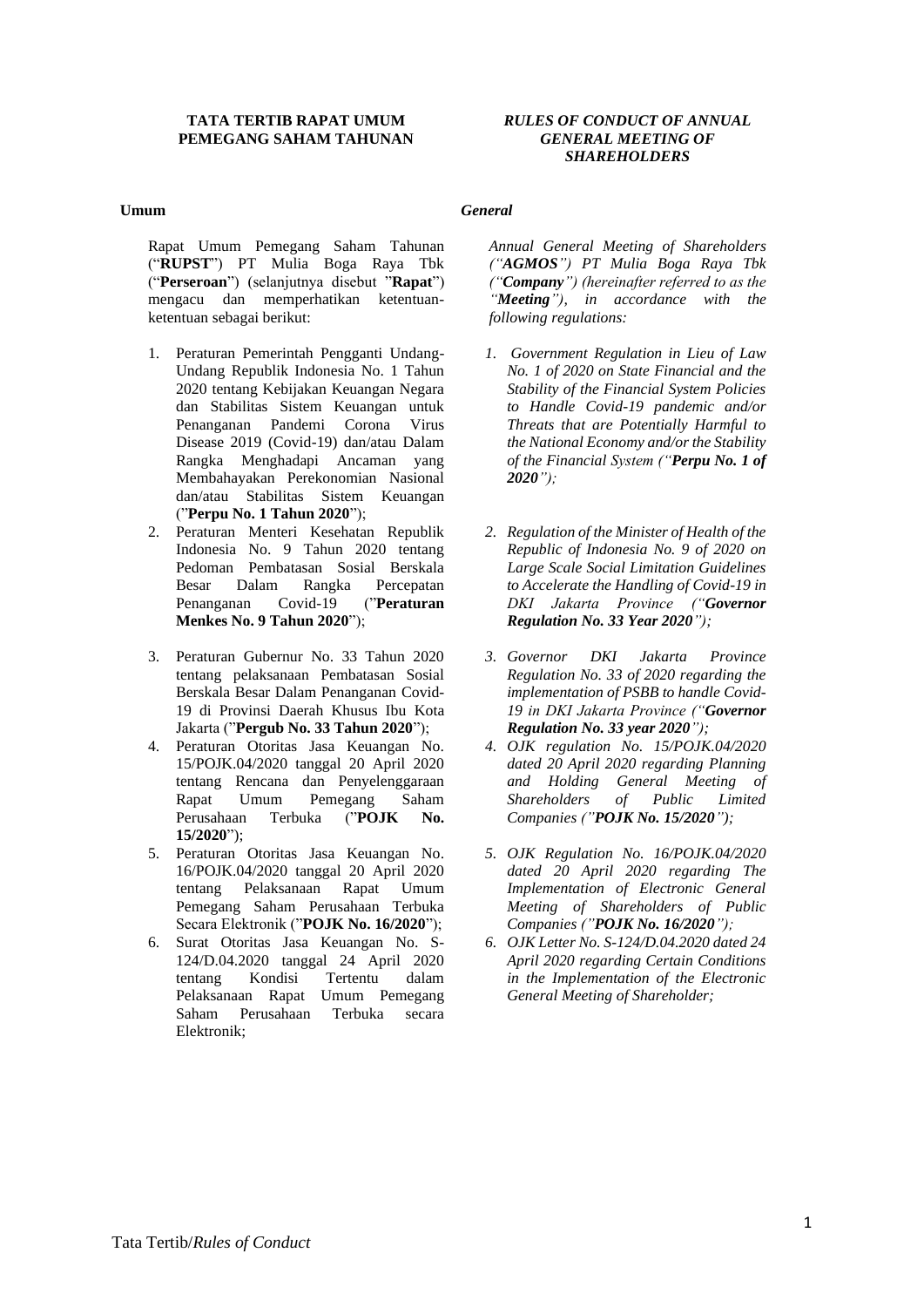#### **TATA TERTIB RAPAT UMUM PEMEGANG SAHAM TAHUNAN**

#### *RULES OF CONDUCT OF ANNUAL GENERAL MEETING OF SHAREHOLDERS*

#### **Umum**

#### *General*

Rapat Umum Pemegang Saham Tahunan ("**RUPST**") PT Mulia Boga Raya Tbk ("**Perseroan**") (selanjutnya disebut "**Rapat**") mengacu dan memperhatikan ketentuanketentuan sebagai berikut:

- 1. Peraturan Pemerintah Pengganti Undang-Undang Republik Indonesia No. 1 Tahun 2020 tentang Kebijakan Keuangan Negara dan Stabilitas Sistem Keuangan untuk Penanganan Pandemi Corona Virus Disease 2019 (Covid-19) dan/atau Dalam Rangka Menghadapi Ancaman yang Membahayakan Perekonomian Nasional dan/atau Stabilitas Sistem Keuangan ("**Perpu No. 1 Tahun 2020**");
- 2. Peraturan Menteri Kesehatan Republik Indonesia No. 9 Tahun 2020 tentang Pedoman Pembatasan Sosial Berskala Besar Dalam Rangka Percepatan Penanganan Covid-19 ("**Peraturan Menkes No. 9 Tahun 2020**");
- 3. Peraturan Gubernur No. 33 Tahun 2020 tentang pelaksanaan Pembatasan Sosial Berskala Besar Dalam Penanganan Covid-19 di Provinsi Daerah Khusus Ibu Kota Jakarta ("**Pergub No. 33 Tahun 2020**");
- 4. Peraturan Otoritas Jasa Keuangan No. 15/POJK.04/2020 tanggal 20 April 2020 tentang Rencana dan Penyelenggaraan Rapat Umum Pemegang Saham Perusahaan Terbuka ("**POJK No. 15/2020**");
- 5. Peraturan Otoritas Jasa Keuangan No. 16/POJK.04/2020 tanggal 20 April 2020 tentang Pelaksanaan Rapat Umum Pemegang Saham Perusahaan Terbuka Secara Elektronik ("**POJK No. 16/2020**");
- 6. Surat Otoritas Jasa Keuangan No. S-124/D.04.2020 tanggal 24 April 2020 tentang Kondisi Tertentu dalam Pelaksanaan Rapat Umum Pemegang Saham Perusahaan Terbuka secara Elektronik;

*Annual General Meeting of Shareholders ("AGMOS") PT Mulia Boga Raya Tbk ("Company") (hereinafter referred to as the "Meeting"), in accordance with the following regulations:*

- *1. Government Regulation in Lieu of Law No. 1 of 2020 on State Financial and the Stability of the Financial System Policies to Handle Covid-19 pandemic and/or Threats that are Potentially Harmful to the National Economy and/or the Stability of the Financial System ("Perpu No. 1 of 2020");*
- *2. Regulation of the Minister of Health of the Republic of Indonesia No. 9 of 2020 on Large Scale Social Limitation Guidelines to Accelerate the Handling of Covid-19 in DKI Jakarta Province ("Governor Regulation No. 33 Year 2020");*
- *3. Governor DKI Jakarta Province Regulation No. 33 of 2020 regarding the implementation of PSBB to handle Covid-19 in DKI Jakarta Province ("Governor Regulation No. 33 year 2020");*
- *4. OJK regulation No. 15/POJK.04/2020 dated 20 April 2020 regarding Planning and Holding General Meeting of Shareholders of Public Limited Companies ("POJK No. 15/2020");*
- *5. OJK Regulation No. 16/POJK.04/2020 dated 20 April 2020 regarding The Implementation of Electronic General Meeting of Shareholders of Public Companies ("POJK No. 16/2020");*
- *6. OJK Letter No. S-124/D.04.2020 dated 24 April 2020 regarding Certain Conditions in the Implementation of the Electronic General Meeting of Shareholder;*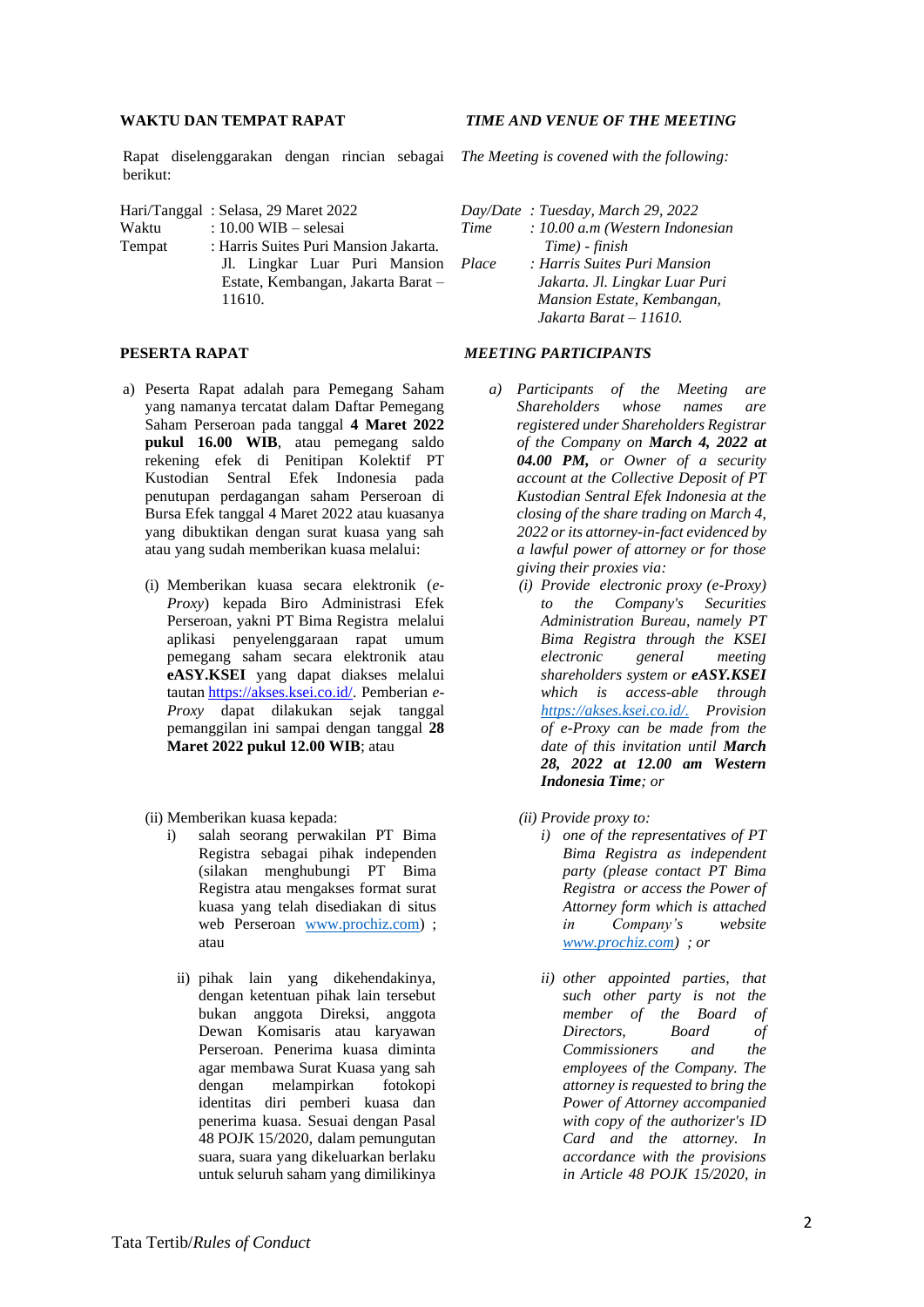#### **WAKTU DAN TEMPAT RAPAT**

Rapat diselenggarakan dengan rincian sebagai *The Meeting is covened with the following:* berikut:

Estate, Kembangan, Jakarta Barat –

| Hari/Tanggal: Selasa, 29 Maret 2022 |                                       |  |                               |
|-------------------------------------|---------------------------------------|--|-------------------------------|
| Waktu                               | : $10.00$ WIB – selesai               |  |                               |
| Tempat                              | : Harris Suites Puri Mansion Jakarta. |  |                               |
|                                     |                                       |  | Jl. Lingkar Luar Puri Mansion |

11610.

#### **PESERTA RAPAT**

- a) Peserta Rapat adalah para Pemegang Saham yang namanya tercatat dalam Daftar Pemegang Saham Perseroan pada tanggal **4 Maret 2022 pukul 16.00 WIB**, atau pemegang saldo rekening efek di Penitipan Kolektif PT Kustodian Sentral Efek Indonesia pada penutupan perdagangan saham Perseroan di Bursa Efek tanggal 4 Maret 2022 atau kuasanya yang dibuktikan dengan surat kuasa yang sah atau yang sudah memberikan kuasa melalui:
	- (i) Memberikan kuasa secara elektronik (*e-Proxy*) kepada Biro Administrasi Efek Perseroan, yakni PT Bima Registra melalui aplikasi penyelenggaraan rapat umum pemegang saham secara elektronik atau **eASY.KSEI** yang dapat diakses melalui tautan [https://akses.ksei.co.id/.](https://akses.ksei.co.id/) Pemberian *e-Proxy* dapat dilakukan sejak tanggal pemanggilan ini sampai dengan tanggal **28 Maret 2022 pukul 12.00 WIB**; atau
	- (ii) Memberikan kuasa kepada:
		- i) salah seorang perwakilan PT Bima Registra sebagai pihak independen (silakan menghubungi PT Bima Registra atau mengakses format surat kuasa yang telah disediakan di situs web Perseroan [www.prochiz.com\)](http://www.prochiz.com/) ; atau
			- ii) pihak lain yang dikehendakinya, dengan ketentuan pihak lain tersebut bukan anggota Direksi, anggota Dewan Komisaris atau karyawan Perseroan. Penerima kuasa diminta agar membawa Surat Kuasa yang sah dengan melampirkan fotokopi identitas diri pemberi kuasa dan penerima kuasa. Sesuai dengan Pasal 48 POJK 15/2020, dalam pemungutan suara, suara yang dikeluarkan berlaku untuk seluruh saham yang dimilikinya

#### *TIME AND VENUE OF THE MEETING*

*Day/Date : Tuesday, March 29, 2022*

- *Time : 10.00 a.m (Western Indonesian Time) - finish*
- *Place : Harris Suites Puri Mansion Jakarta. Jl. Lingkar Luar Puri Mansion Estate, Kembangan, Jakarta Barat – 11610.*

## *MEETING PARTICIPANTS*

- *a) Participants of the Meeting are Shareholders whose names are registered under Shareholders Registrar of the Company on March 4, 2022 at 04.00 PM, or Owner of a security account at the Collective Deposit of PT Kustodian Sentral Efek Indonesia at the closing of the share trading on March 4, 2022 or its attorney-in-fact evidenced by a lawful power of attorney or for those giving their proxies via:*
	- *(i) Provide electronic proxy (e-Proxy) to the Company's Securities Administration Bureau, namely PT Bima Registra through the KSEI electronic general meeting shareholders system or eASY.KSEI which is access-able through [https://akses.ksei.co.id/.](https://akses.ksei.co.id/) Provision of e-Proxy can be made from the date of this invitation until March 28, 2022 at 12.00 am Western Indonesia Time; or*
	- *(ii) Provide proxy to:*
		- *i) one of the representatives of PT Bima Registra as independent party (please contact PT Bima Registra or access the Power of Attorney form which is attached in Company's website [www.prochiz.com\)](http://www.prochiz.com/) ; or*
		- *ii) other appointed parties, that such other party is not the member of the Board of Directors, Board of Commissioners and the employees of the Company. The attorney is requested to bring the Power of Attorney accompanied with copy of the authorizer's ID Card and the attorney. In accordance with the provisions in Article 48 POJK 15/2020, in*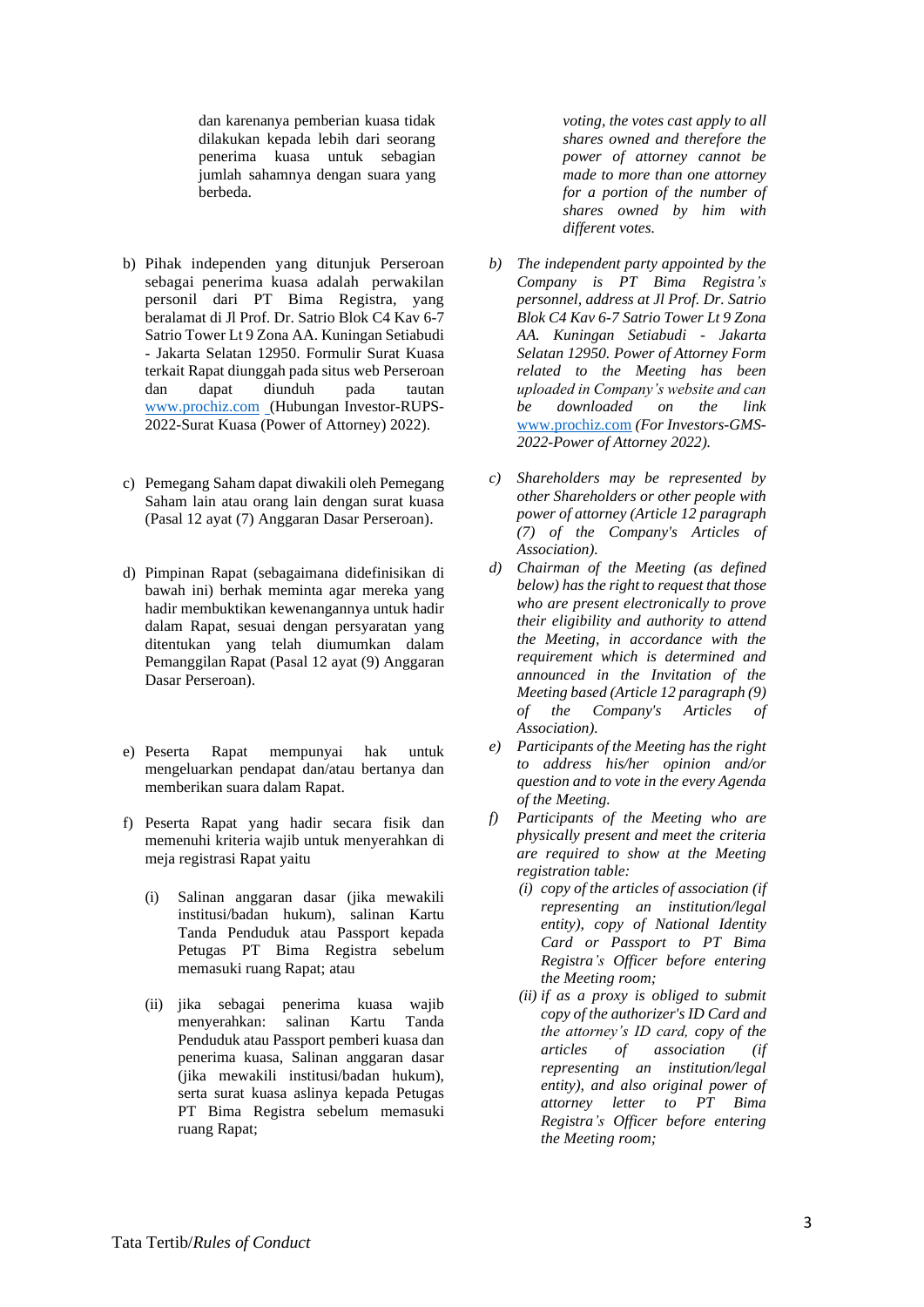dan karenanya pemberian kuasa tidak dilakukan kepada lebih dari seorang penerima kuasa untuk sebagian jumlah sahamnya dengan suara yang berbeda.

- b) Pihak independen yang ditunjuk Perseroan sebagai penerima kuasa adalah perwakilan personil dari PT Bima Registra, yang beralamat di Jl Prof. Dr. Satrio Blok C4 Kav 6-7 Satrio Tower Lt 9 Zona AA. Kuningan Setiabudi - Jakarta Selatan 12950. Formulir Surat Kuasa terkait Rapat diunggah pada situs web Perseroan dan dapat diunduh pada tautan [www.prochiz.com](http://www.prochiz.com/) (Hubungan Investor-RUPS-2022-Surat Kuasa (Power of Attorney) 2022).
- c) Pemegang Saham dapat diwakili oleh Pemegang Saham lain atau orang lain dengan surat kuasa (Pasal 12 ayat (7) Anggaran Dasar Perseroan).
- d) Pimpinan Rapat (sebagaimana didefinisikan di bawah ini) berhak meminta agar mereka yang hadir membuktikan kewenangannya untuk hadir dalam Rapat, sesuai dengan persyaratan yang ditentukan yang telah diumumkan dalam Pemanggilan Rapat (Pasal 12 ayat (9) Anggaran Dasar Perseroan).
- e) Peserta Rapat mempunyai hak untuk mengeluarkan pendapat dan/atau bertanya dan memberikan suara dalam Rapat.
- f) Peserta Rapat yang hadir secara fisik dan memenuhi kriteria wajib untuk menyerahkan di meja registrasi Rapat yaitu
	- (i) Salinan anggaran dasar (jika mewakili institusi/badan hukum), salinan Kartu Tanda Penduduk atau Passport kepada Petugas PT Bima Registra sebelum memasuki ruang Rapat; atau
	- (ii) jika sebagai penerima kuasa wajib menyerahkan: salinan Kartu Tanda Penduduk atau Passport pemberi kuasa dan penerima kuasa, Salinan anggaran dasar (jika mewakili institusi/badan hukum), serta surat kuasa aslinya kepada Petugas PT Bima Registra sebelum memasuki ruang Rapat;

*voting, the votes cast apply to all shares owned and therefore the power of attorney cannot be made to more than one attorney for a portion of the number of shares owned by him with different votes.* 

- *b) The independent party appointed by the Company is PT Bima Registra's personnel, address at Jl Prof. Dr. Satrio Blok C4 Kav 6-7 Satrio Tower Lt 9 Zona AA. Kuningan Setiabudi - Jakarta Selatan 12950. Power of Attorney Form related to the Meeting has been uploaded in Company's website and can be downloaded on the link*  [www.prochiz.com](http://www.prochiz.com/) *(For Investors-GMS-2022-Power of Attorney 2022).*
- *c) Shareholders may be represented by other Shareholders or other people with power of attorney (Article 12 paragraph (7) of the Company's Articles of Association).*
- *d) Chairman of the Meeting (as defined below) has the right to request that those who are present electronically to prove their eligibility and authority to attend the Meeting, in accordance with the requirement which is determined and announced in the Invitation of the Meeting based (Article 12 paragraph (9) of the Company's Articles of Association).*
- *e) Participants of the Meeting has the right to address his/her opinion and/or question and to vote in the every Agenda of the Meeting.*
- *f) Participants of the Meeting who are physically present and meet the criteria are required to show at the Meeting registration table:* 
	- *(i) copy of the articles of association (if representing an institution/legal entity), copy of National Identity Card or Passport to PT Bima Registra's Officer before entering the Meeting room;*
	- *(ii) if as a proxy is obliged to submit copy of the authorizer's ID Card and the attorney's ID card, copy of the articles of association (if representing an institution/legal entity), and also original power of attorney letter to PT Bima Registra's Officer before entering the Meeting room;*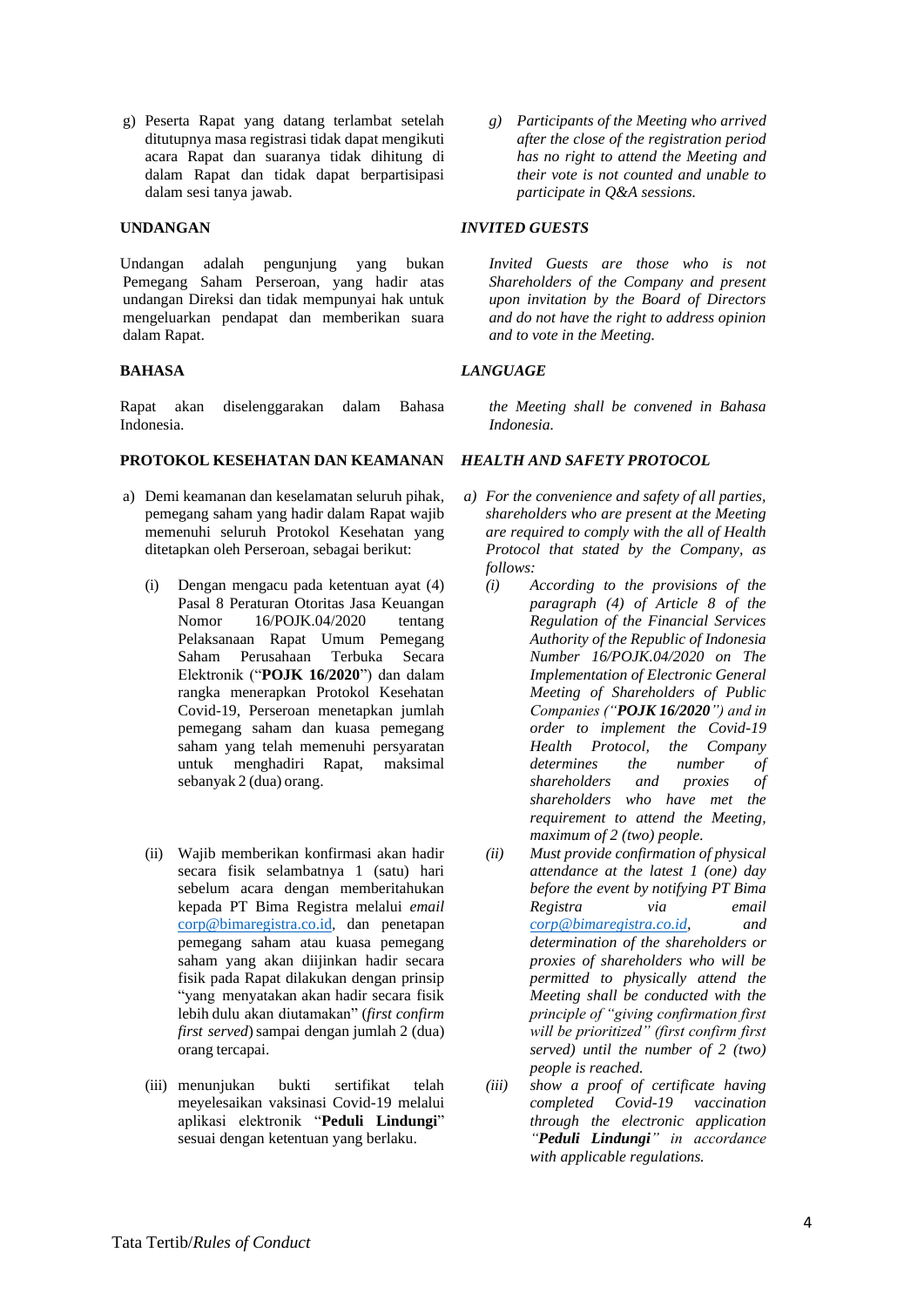g) Peserta Rapat yang datang terlambat setelah ditutupnya masa registrasi tidak dapat mengikuti acara Rapat dan suaranya tidak dihitung di dalam Rapat dan tidak dapat berpartisipasi dalam sesi tanya jawab.

#### **UNDANGAN**

Undangan adalah pengunjung yang bukan Pemegang Saham Perseroan, yang hadir atas undangan Direksi dan tidak mempunyai hak untuk mengeluarkan pendapat dan memberikan suara dalam Rapat.

# **BAHASA**

Rapat akan diselenggarakan dalam Bahasa Indonesia.

# **PROTOKOL KESEHATAN DAN KEAMANAN**

- a) Demi keamanan dan keselamatan seluruh pihak, pemegang saham yang hadir dalam Rapat wajib memenuhi seluruh Protokol Kesehatan yang ditetapkan oleh Perseroan, sebagai berikut:
	- (i) Dengan mengacu pada ketentuan ayat (4) Pasal 8 Peraturan Otoritas Jasa Keuangan Nomor 16/POJK.04/2020 tentang Pelaksanaan Rapat Umum Pemegang Saham Perusahaan Terbuka Secara Elektronik ("**POJK 16/2020**") dan dalam rangka menerapkan Protokol Kesehatan Covid-19, Perseroan menetapkan jumlah pemegang saham dan kuasa pemegang saham yang telah memenuhi persyaratan untuk menghadiri Rapat, maksimal sebanyak 2 (dua) orang.
	- (ii) Wajib memberikan konfirmasi akan hadir secara fisik selambatnya 1 (satu) hari sebelum acara dengan memberitahukan kepada PT Bima Registra melalui *email* [corp@bimaregistra.co.id](mailto:corp@bimaregistra.co.id), dan penetapan pemegang saham atau kuasa pemegang saham yang akan diijinkan hadir secara fisik pada Rapat dilakukan dengan prinsip "yang menyatakan akan hadir secara fisik lebih dulu akan diutamakan" (*first confirm first served*) sampai dengan jumlah 2 (dua) orang tercapai.
	- (iii) menunjukan bukti sertifikat telah meyelesaikan vaksinasi Covid-19 melalui aplikasi elektronik "**Peduli Lindungi**" sesuai dengan ketentuan yang berlaku.

*g) Participants of the Meeting who arrived after the close of the registration period has no right to attend the Meeting and their vote is not counted and unable to participate in Q&A sessions.*

#### *INVITED GUESTS*

*Invited Guests are those who is not Shareholders of the Company and present upon invitation by the Board of Directors and do not have the right to address opinion and to vote in the Meeting.*

#### *LANGUAGE*

*the Meeting shall be convened in Bahasa Indonesia.*

#### *HEALTH AND SAFETY PROTOCOL*

- *a) For the convenience and safety of all parties, shareholders who are present at the Meeting are required to comply with the all of Health Protocol that stated by the Company, as follows:*
	- *(i) According to the provisions of the paragraph (4) of Article 8 of the Regulation of the Financial Services Authority of the Republic of Indonesia Number 16/POJK.04/2020 on The Implementation of Electronic General Meeting of Shareholders of Public Companies ("POJK 16/2020") and in order to implement the Covid-19 Health Protocol, the Company determines the number of shareholders and proxies of shareholders who have met the requirement to attend the Meeting, maximum of 2 (two) people.*
	- *(ii) Must provide confirmation of physical attendance at the latest 1 (one) day before the event by notifying PT Bima Registra via email [corp@bimaregistra.co.id,](mailto:corp@bimaregistra.co.id) and determination of the shareholders or proxies of shareholders who will be permitted to physically attend the Meeting shall be conducted with the principle of "giving confirmation first will be prioritized" (first confirm first served) until the number of 2 (two) people is reached.*
	- *(iii) show a proof of certificate having completed Covid-19 vaccination through the electronic application "Peduli Lindungi" in accordance with applicable regulations.*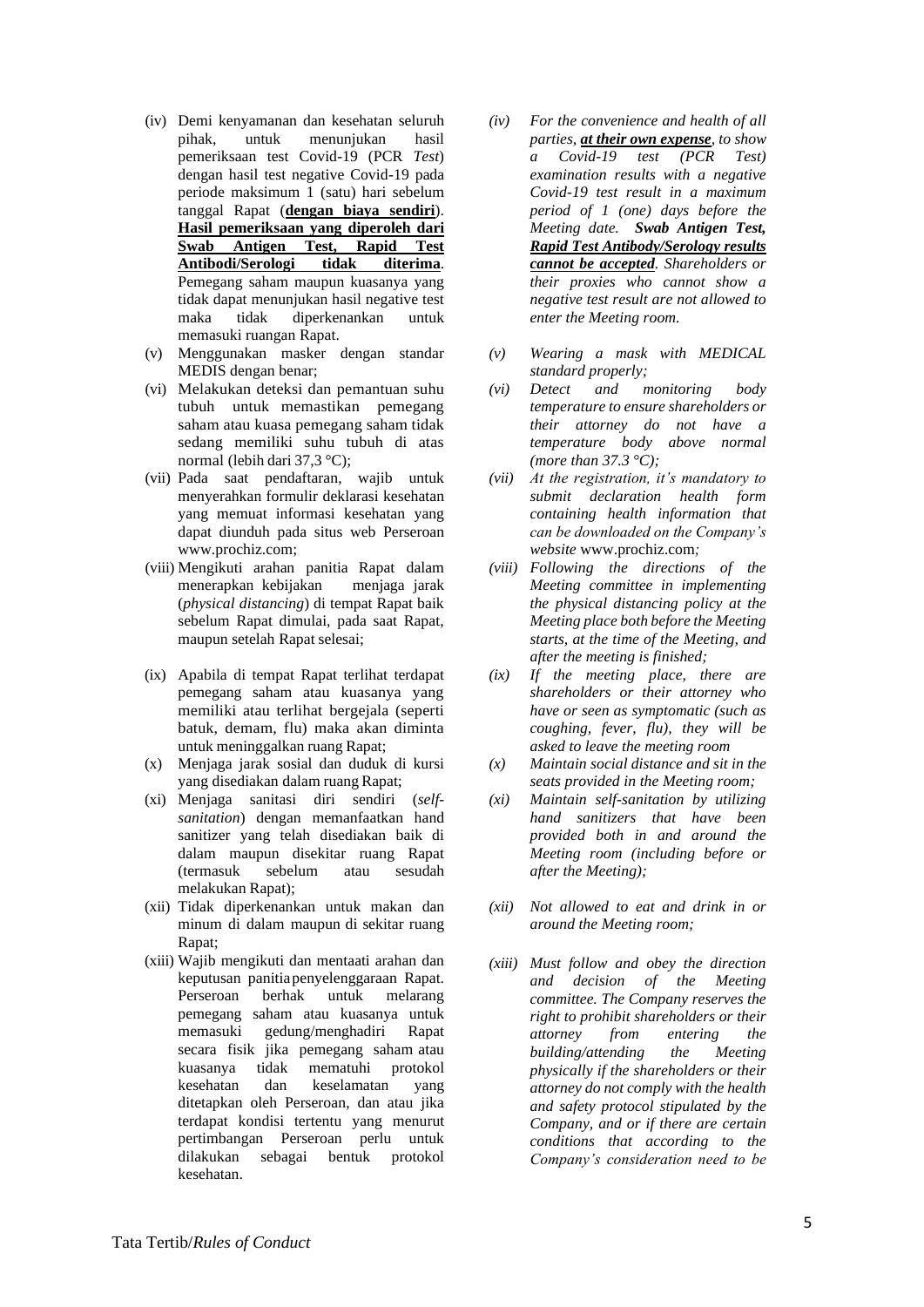- (iv) Demi kenyamanan dan kesehatan seluruh pihak, untuk menunjukan hasil pemeriksaan test Covid-19 (PCR *Test*) dengan hasil test negative Covid-19 pada periode maksimum 1 (satu) hari sebelum tanggal Rapat (**dengan biaya sendiri**). **Hasil pemeriksaan yang diperoleh dari Swab Antigen Test, Rapid Test Antibodi/Serologi tidak diterima**. Pemegang saham maupun kuasanya yang tidak dapat menunjukan hasil negative test maka tidak diperkenankan untuk memasuki ruangan Rapat.
- (v) Menggunakan masker dengan standar MEDIS dengan benar;
- (vi) Melakukan deteksi dan pemantuan suhu tubuh untuk memastikan pemegang saham atau kuasa pemegang saham tidak sedang memiliki suhu tubuh di atas normal (lebih dari 37,3 °C);
- (vii) Pada saat pendaftaran, wajib untuk menyerahkan formulir deklarasi kesehatan yang memuat informasi kesehatan yang dapat diunduh pada situs web Perseroan www.prochiz.com;
- (viii) Mengikuti arahan panitia Rapat dalam menerapkan kebijakan menjaga jarak (*physical distancing*) di tempat Rapat baik sebelum Rapat dimulai, pada saat Rapat, maupun setelah Rapat selesai;
- (ix) Apabila di tempat Rapat terlihat terdapat pemegang saham atau kuasanya yang memiliki atau terlihat bergejala (seperti batuk, demam, flu) maka akan diminta untuk meninggalkan ruang Rapat;
- (x) Menjaga jarak sosial dan duduk di kursi yang disediakan dalam ruang Rapat;
- (xi) Menjaga sanitasi diri sendiri (*selfsanitation*) dengan memanfaatkan hand sanitizer yang telah disediakan baik di dalam maupun disekitar ruang Rapat (termasuk sebelum atau sesudah melakukan Rapat);
- (xii) Tidak diperkenankan untuk makan dan minum di dalam maupun di sekitar ruang Rapat;
- (xiii) Wajib mengikuti dan mentaati arahan dan keputusan panitiapenyelenggaraan Rapat. Perseroan berhak untuk melarang pemegang saham atau kuasanya untuk memasuki gedung/menghadiri Rapat secara fisik jika pemegang saham atau kuasanya tidak mematuhi protokol kesehatan dan keselamatan yang ditetapkan oleh Perseroan, dan atau jika terdapat kondisi tertentu yang menurut pertimbangan Perseroan perlu untuk dilakukan sebagai bentuk protokol kesehatan.
- *(iv) For the convenience and health of all parties, at their own expense, to show a Covid-19 test (PCR Test) examination results with a negative Covid-19 test result in a maximum period of 1 (one) days before the Meeting date. Swab Antigen Test, Rapid Test Antibody/Serology results cannot be accepted. Shareholders or their proxies who cannot show a negative test result are not allowed to enter the Meeting room.*
- *(v) Wearing a mask with MEDICAL standard properly;*
- *(vi) Detect and monitoring body temperature to ensure shareholders or their attorney do not have a temperature body above normal (more than 37.3 °C);*
- *(vii) At the registration, it's mandatory to submit declaration health form containing health information that can be downloaded on the Company's website* www.prochiz.com*;*
- *(viii) Following the directions of the Meeting committee in implementing the physical distancing policy at the Meeting place both before the Meeting starts, at the time of the Meeting, and after the meeting is finished;*
- *(ix) If the meeting place, there are shareholders or their attorney who have or seen as symptomatic (such as coughing, fever, flu), they will be asked to leave the meeting room*
- *(x) Maintain social distance and sit in the seats provided in the Meeting room;*
- *(xi) Maintain self-sanitation by utilizing hand sanitizers that have been provided both in and around the Meeting room (including before or after the Meeting);*
- *(xii) Not allowed to eat and drink in or around the Meeting room;*
- *(xiii) Must follow and obey the direction and decision of the Meeting committee. The Company reserves the right to prohibit shareholders or their attorney from entering the building/attending the Meeting physically if the shareholders or their attorney do not comply with the health and safety protocol stipulated by the Company, and or if there are certain conditions that according to the Company's consideration need to be*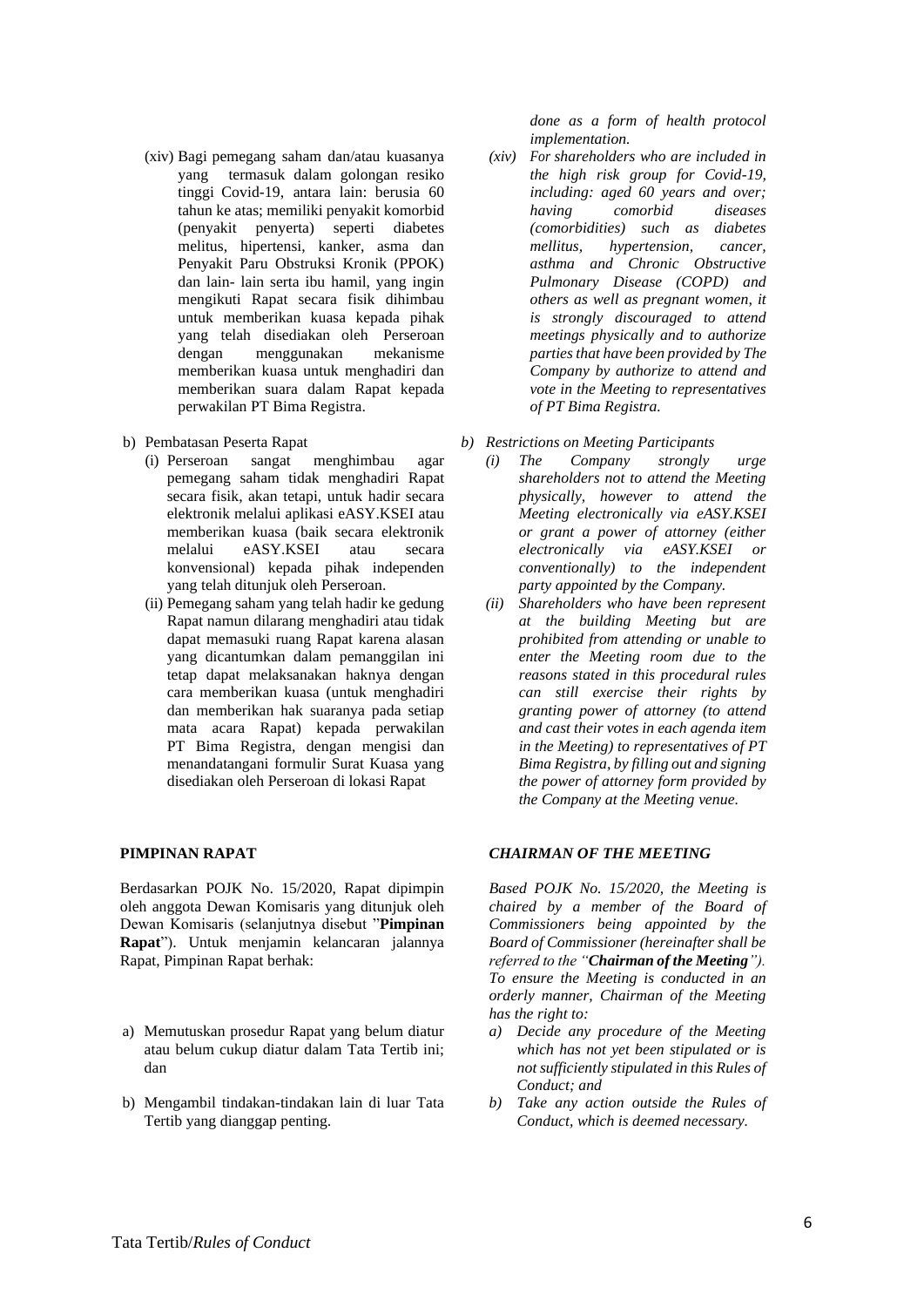- (xiv) Bagi pemegang saham dan/atau kuasanya yang termasuk dalam golongan resiko tinggi Covid-19, antara lain: berusia 60 tahun ke atas; memiliki penyakit komorbid (penyakit penyerta) seperti diabetes melitus, hipertensi, kanker, asma dan Penyakit Paru Obstruksi Kronik (PPOK) dan lain- lain serta ibu hamil, yang ingin mengikuti Rapat secara fisik dihimbau untuk memberikan kuasa kepada pihak yang telah disediakan oleh Perseroan dengan menggunakan mekanisme memberikan kuasa untuk menghadiri dan memberikan suara dalam Rapat kepada perwakilan PT Bima Registra.
- b) Pembatasan Peserta Rapat
	- (i) Perseroan sangat menghimbau agar pemegang saham tidak menghadiri Rapat secara fisik, akan tetapi, untuk hadir secara elektronik melalui aplikasi eASY.KSEI atau memberikan kuasa (baik secara elektronik melalui eASY.KSEI atau secara konvensional) kepada pihak independen yang telah ditunjuk oleh Perseroan.
	- (ii) Pemegang saham yang telah hadir ke gedung Rapat namun dilarang menghadiri atau tidak dapat memasuki ruang Rapat karena alasan yang dicantumkan dalam pemanggilan ini tetap dapat melaksanakan haknya dengan cara memberikan kuasa (untuk menghadiri dan memberikan hak suaranya pada setiap mata acara Rapat) kepada perwakilan PT Bima Registra, dengan mengisi dan menandatangani formulir Surat Kuasa yang disediakan oleh Perseroan di lokasi Rapat

## **PIMPINAN RAPAT**

Berdasarkan POJK No. 15/2020, Rapat dipimpin oleh anggota Dewan Komisaris yang ditunjuk oleh Dewan Komisaris (selanjutnya disebut "**Pimpinan Rapat**"). Untuk menjamin kelancaran jalannya Rapat, Pimpinan Rapat berhak:

- a) Memutuskan prosedur Rapat yang belum diatur atau belum cukup diatur dalam Tata Tertib ini; dan
- b) Mengambil tindakan-tindakan lain di luar Tata Tertib yang dianggap penting.

*done as a form of health protocol implementation.*

- *(xiv) For shareholders who are included in the high risk group for Covid-19, including: aged 60 years and over; having comorbid diseases (comorbidities) such as diabetes mellitus, hypertension, cancer, asthma and Chronic Obstructive Pulmonary Disease (COPD) and others as well as pregnant women, it is strongly discouraged to attend meetings physically and to authorize parties that have been provided by The Company by authorize to attend and vote in the Meeting to representatives of PT Bima Registra.*
- *b) Restrictions on Meeting Participants*
	- *(i) The Company strongly urge shareholders not to attend the Meeting physically, however to attend the Meeting electronically via eASY.KSEI or grant a power of attorney (either electronically via eASY.KSEI or conventionally) to the independent party appointed by the Company.*
	- *(ii) Shareholders who have been represent at the building Meeting but are prohibited from attending or unable to enter the Meeting room due to the reasons stated in this procedural rules can still exercise their rights by granting power of attorney (to attend and cast their votes in each agenda item in the Meeting) to representatives of PT Bima Registra, by filling out and signing the power of attorney form provided by the Company at the Meeting venue.*

## *CHAIRMAN OF THE MEETING*

*Based POJK No. 15/2020, the Meeting is chaired by a member of the Board of Commissioners being appointed by the Board of Commissioner (hereinafter shall be referred to the "Chairman of the Meeting"). To ensure the Meeting is conducted in an orderly manner, Chairman of the Meeting has the right to:*

- *a) Decide any procedure of the Meeting which has not yet been stipulated or is not sufficiently stipulated in this Rules of Conduct; and*
- *b) Take any action outside the Rules of Conduct, which is deemed necessary.*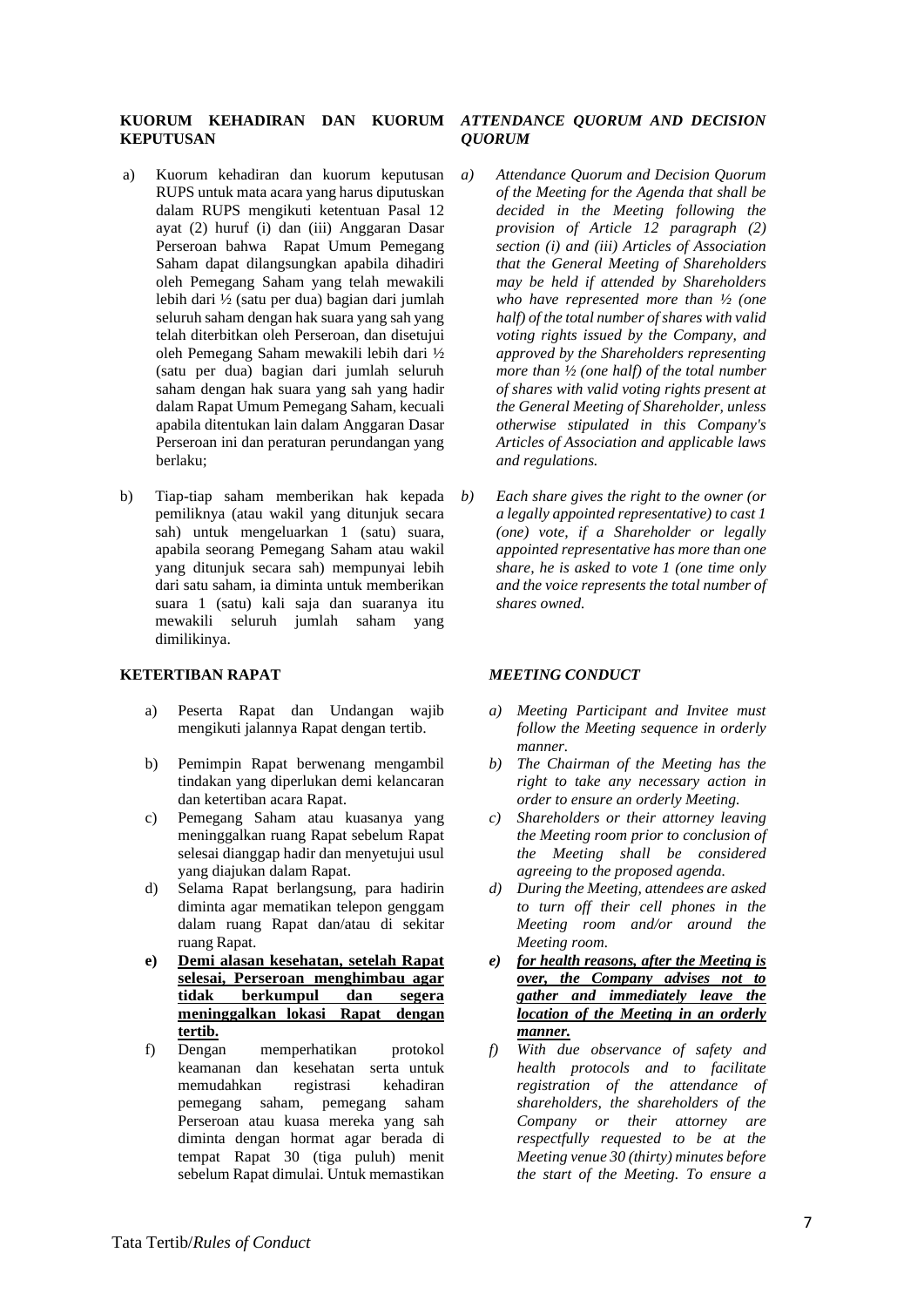## **KUORUM KEHADIRAN DAN KUORUM**  *ATTENDANCE QUORUM AND DECISION*  **KEPUTUSAN**

- a) Kuorum kehadiran dan kuorum keputusan RUPS untuk mata acara yang harus diputuskan dalam RUPS mengikuti ketentuan Pasal 12 ayat (2) huruf (i) dan (iii) Anggaran Dasar Perseroan bahwa Rapat Umum Pemegang Saham dapat dilangsungkan apabila dihadiri oleh Pemegang Saham yang telah mewakili lebih dari ½ (satu per dua) bagian dari jumlah seluruh saham dengan hak suara yang sah yang telah diterbitkan oleh Perseroan, dan disetujui oleh Pemegang Saham mewakili lebih dari ½ (satu per dua) bagian dari jumlah seluruh saham dengan hak suara yang sah yang hadir dalam Rapat Umum Pemegang Saham, kecuali apabila ditentukan lain dalam Anggaran Dasar Perseroan ini dan peraturan perundangan yang berlaku;
- b) Tiap-tiap saham memberikan hak kepada pemiliknya (atau wakil yang ditunjuk secara sah) untuk mengeluarkan 1 (satu) suara, apabila seorang Pemegang Saham atau wakil yang ditunjuk secara sah) mempunyai lebih dari satu saham, ia diminta untuk memberikan suara 1 (satu) kali saja dan suaranya itu mewakili seluruh jumlah saham yang dimilikinya.

## **KETERTIBAN RAPAT**

- a) Peserta Rapat dan Undangan wajib mengikuti jalannya Rapat dengan tertib.
- b) Pemimpin Rapat berwenang mengambil tindakan yang diperlukan demi kelancaran dan ketertiban acara Rapat.
- c) Pemegang Saham atau kuasanya yang meninggalkan ruang Rapat sebelum Rapat selesai dianggap hadir dan menyetujui usul yang diajukan dalam Rapat.
- d) Selama Rapat berlangsung, para hadirin diminta agar mematikan telepon genggam dalam ruang Rapat dan/atau di sekitar ruang Rapat.
- **e) Demi alasan kesehatan, setelah Rapat selesai, Perseroan menghimbau agar tidak berkumpul dan segera meninggalkan lokasi Rapat dengan tertib.**
- f) Dengan memperhatikan protokol keamanan dan kesehatan serta untuk memudahkan registrasi kehadiran pemegang saham, pemegang saham Perseroan atau kuasa mereka yang sah diminta dengan hormat agar berada di tempat Rapat 30 (tiga puluh) menit sebelum Rapat dimulai. Untuk memastikan

# *QUORUM*

- *a) Attendance Quorum and Decision Quorum of the Meeting for the Agenda that shall be decided in the Meeting following the provision of Article 12 paragraph (2) section (i) and (iii) Articles of Association that the General Meeting of Shareholders may be held if attended by Shareholders who have represented more than ½ (one half) of the total number of shares with valid voting rights issued by the Company, and approved by the Shareholders representing more than ½ (one half) of the total number of shares with valid voting rights present at the General Meeting of Shareholder, unless otherwise stipulated in this Company's Articles of Association and applicable laws and regulations.*
- *b) Each share gives the right to the owner (or a legally appointed representative) to cast 1 (one) vote, if a Shareholder or legally appointed representative has more than one share, he is asked to vote 1 (one time only and the voice represents the total number of shares owned.*

#### *MEETING CONDUCT*

- *a) Meeting Participant and Invitee must follow the Meeting sequence in orderly manner.*
- *b) The Chairman of the Meeting has the right to take any necessary action in order to ensure an orderly Meeting.*
- *c) Shareholders or their attorney leaving the Meeting room prior to conclusion of the Meeting shall be considered agreeing to the proposed agenda.*
- *d) During the Meeting, attendees are asked to turn off their cell phones in the Meeting room and/or around the Meeting room.*
- *e) for health reasons, after the Meeting is over, the Company advises not to gather and immediately leave the location of the Meeting in an orderly manner.*
- *f) With due observance of safety and health protocols and to facilitate registration of the attendance of shareholders, the shareholders of the Company or their attorney are respectfully requested to be at the Meeting venue 30 (thirty) minutes before the start of the Meeting. To ensure a*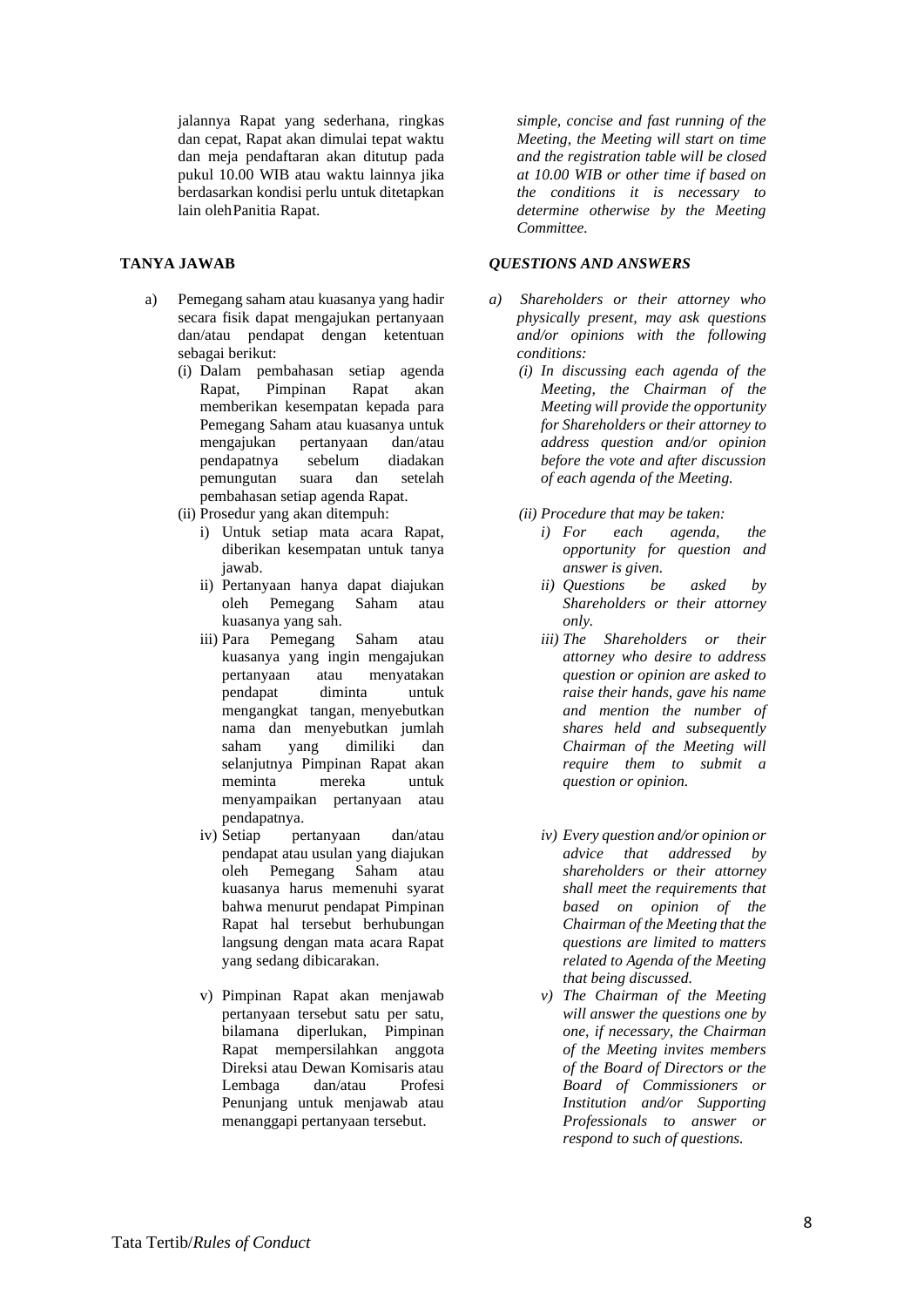jalannya Rapat yang sederhana, ringkas dan cepat, Rapat akan dimulai tepat waktu dan meja pendaftaran akan ditutup pada pukul 10.00 WIB atau waktu lainnya jika berdasarkan kondisi perlu untuk ditetapkan lain oleh Panitia Rapat.

## **TANYA JAWAB**

- a) Pemegang saham atau kuasanya yang hadir secara fisik dapat mengajukan pertanyaan dan/atau pendapat dengan ketentuan sebagai berikut:
	- (i) Dalam pembahasan setiap agenda Rapat, Pimpinan Rapat akan memberikan kesempatan kepada para Pemegang Saham atau kuasanya untuk mengajukan pertanyaan dan/atau pendapatnya sebelum diadakan pemungutan suara dan setelah pembahasan setiap agenda Rapat.
	- (ii) Prosedur yang akan ditempuh:
		- i) Untuk setiap mata acara Rapat, diberikan kesempatan untuk tanya jawab.
		- ii) Pertanyaan hanya dapat diajukan oleh Pemegang Saham atau kuasanya yang sah.
		- iii) Para Pemegang Saham atau kuasanya yang ingin mengajukan pertanyaan atau menyatakan pendapat diminta untuk mengangkat tangan, menyebutkan nama dan menyebutkan jumlah saham yang dimiliki dan selanjutnya Pimpinan Rapat akan meminta mereka untuk menyampaikan pertanyaan atau pendapatnya.
		- iv) Setiap pertanyaan dan/atau pendapat atau usulan yang diajukan oleh Pemegang Saham atau kuasanya harus memenuhi syarat bahwa menurut pendapat Pimpinan Rapat hal tersebut berhubungan langsung dengan mata acara Rapat yang sedang dibicarakan.
		- v) Pimpinan Rapat akan menjawab pertanyaan tersebut satu per satu, bilamana diperlukan, Pimpinan Rapat mempersilahkan anggota Direksi atau Dewan Komisaris atau Lembaga dan/atau Profesi Penunjang untuk menjawab atau menanggapi pertanyaan tersebut.

*simple, concise and fast running of the Meeting, the Meeting will start on time and the registration table will be closed at 10.00 WIB or other time if based on the conditions it is necessary to determine otherwise by the Meeting Committee.*

## *QUESTIONS AND ANSWERS*

- *a) Shareholders or their attorney who physically present, may ask questions and/or opinions with the following conditions:*
	- *(i) In discussing each agenda of the Meeting, the Chairman of the Meeting will provide the opportunity for Shareholders or their attorney to address question and/or opinion before the vote and after discussion of each agenda of the Meeting.*
	- *(ii) Procedure that may be taken:*
		- *i) For each agenda, the opportunity for question and answer is given.*
		- *ii) Questions be asked by Shareholders or their attorney only.*
		- *iii) The Shareholders or their attorney who desire to address question or opinion are asked to raise their hands, gave his name and mention the number of shares held and subsequently Chairman of the Meeting will require them to submit a question or opinion.*
		- *iv) Every question and/or opinion or advice that addressed by shareholders or their attorney shall meet the requirements that based on opinion of the Chairman of the Meeting that the questions are limited to matters related to Agenda of the Meeting that being discussed.*
		- *v) The Chairman of the Meeting will answer the questions one by one, if necessary, the Chairman of the Meeting invites members of the Board of Directors or the Board of Commissioners or Institution and/or Supporting Professionals to answer or respond to such of questions.*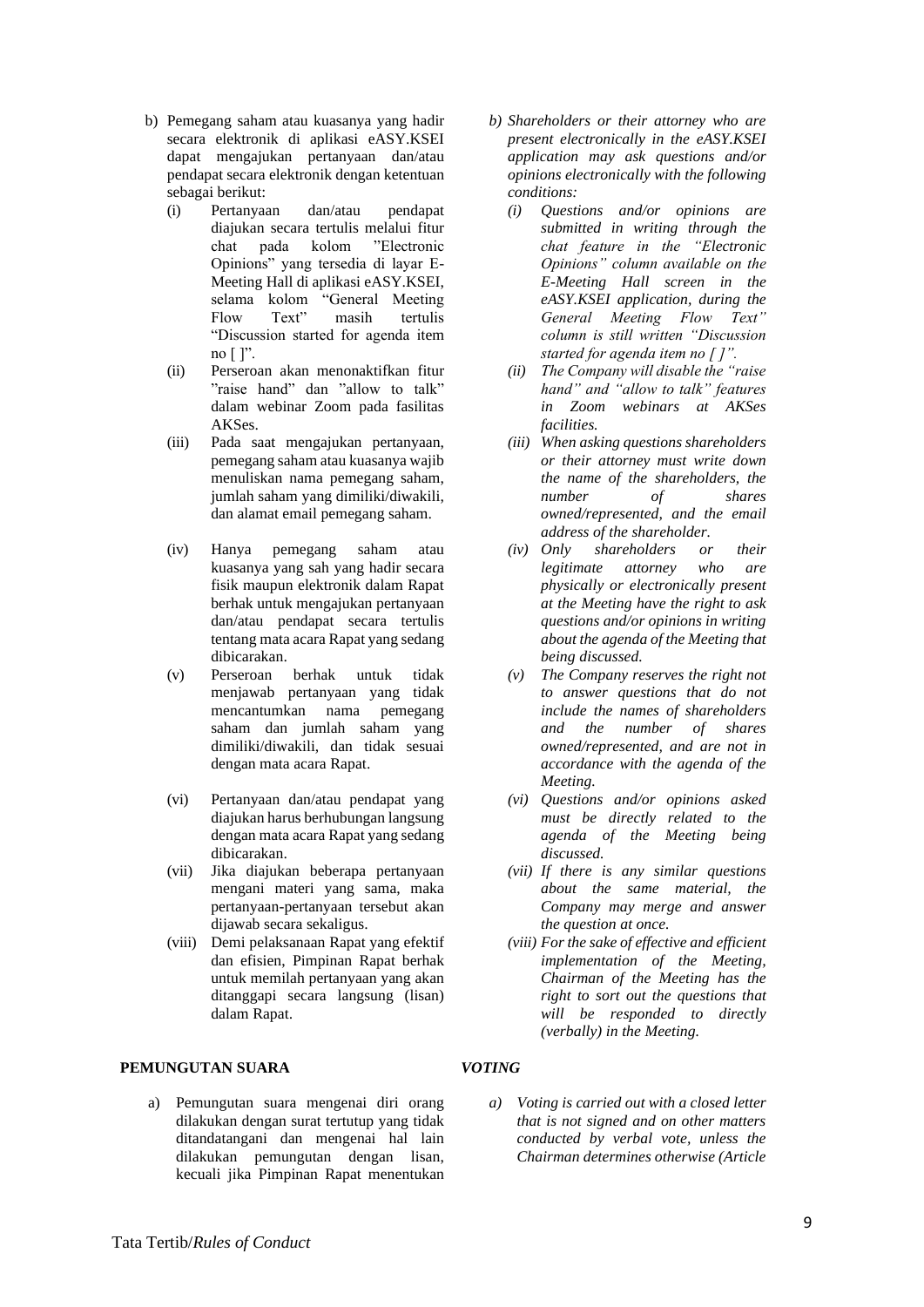- b) Pemegang saham atau kuasanya yang hadir secara elektronik di aplikasi eASY.KSEI dapat mengajukan pertanyaan dan/atau pendapat secara elektronik dengan ketentuan sebagai berikut:
	- (i) Pertanyaan dan/atau pendapat diajukan secara tertulis melalui fitur chat pada kolom "Electronic Opinions" yang tersedia di layar E-Meeting Hall di aplikasi eASY.KSEI, selama kolom "General Meeting Flow Text" masih tertulis "Discussion started for agenda item no  $[$  ]".
	- (ii) Perseroan akan menonaktifkan fitur "raise hand" dan "allow to talk" dalam webinar Zoom pada fasilitas AKSes.
	- (iii) Pada saat mengajukan pertanyaan, pemegang saham atau kuasanya wajib menuliskan nama pemegang saham, jumlah saham yang dimiliki/diwakili, dan alamat email pemegang saham.
	- (iv) Hanya pemegang saham atau kuasanya yang sah yang hadir secara fisik maupun elektronik dalam Rapat berhak untuk mengajukan pertanyaan dan/atau pendapat secara tertulis tentang mata acara Rapat yang sedang dibicarakan.
	- (v) Perseroan berhak untuk tidak menjawab pertanyaan yang tidak mencantumkan nama pemegang saham dan jumlah saham yang dimiliki/diwakili, dan tidak sesuai dengan mata acara Rapat.
	- (vi) Pertanyaan dan/atau pendapat yang diajukan harus berhubungan langsung dengan mata acara Rapat yang sedang dibicarakan.
	- (vii) Jika diajukan beberapa pertanyaan mengani materi yang sama, maka pertanyaan-pertanyaan tersebut akan dijawab secara sekaligus.
	- (viii) Demi pelaksanaan Rapat yang efektif dan efisien, Pimpinan Rapat berhak untuk memilah pertanyaan yang akan ditanggapi secara langsung (lisan) dalam Rapat.

# **PEMUNGUTAN SUARA**

a) Pemungutan suara mengenai diri orang dilakukan dengan surat tertutup yang tidak ditandatangani dan mengenai hal lain dilakukan pemungutan dengan lisan, kecuali jika Pimpinan Rapat menentukan

- *b) Shareholders or their attorney who are present electronically in the eASY.KSEI application may ask questions and/or opinions electronically with the following conditions:*
	- *(i) Questions and/or opinions are submitted in writing through the chat feature in the "Electronic Opinions" column available on the E-Meeting Hall screen in the eASY.KSEI application, during the General Meeting Flow Text" column is still written "Discussion started for agenda item no [ ]".*
	- *(ii) The Company will disable the "raise hand" and "allow to talk" features in Zoom webinars at AKSes facilities.*
	- *(iii) When asking questions shareholders or their attorney must write down the name of the shareholders, the number of shares owned/represented, and the email address of the shareholder.*
	- *(iv) Only shareholders or their legitimate attorney who are physically or electronically present at the Meeting have the right to ask questions and/or opinions in writing about the agenda of the Meeting that being discussed.*
	- *(v) The Company reserves the right not to answer questions that do not include the names of shareholders and the number of shares owned/represented, and are not in accordance with the agenda of the Meeting.*
	- *(vi) Questions and/or opinions asked must be directly related to the agenda of the Meeting being discussed.*
	- *(vii) If there is any similar questions about the same material, the Company may merge and answer the question at once.*
	- *(viii) For the sake of effective and efficient implementation of the Meeting, Chairman of the Meeting has the right to sort out the questions that will be responded to directly (verbally) in the Meeting.*

# *VOTING*

*a) Voting is carried out with a closed letter that is not signed and on other matters conducted by verbal vote, unless the Chairman determines otherwise (Article*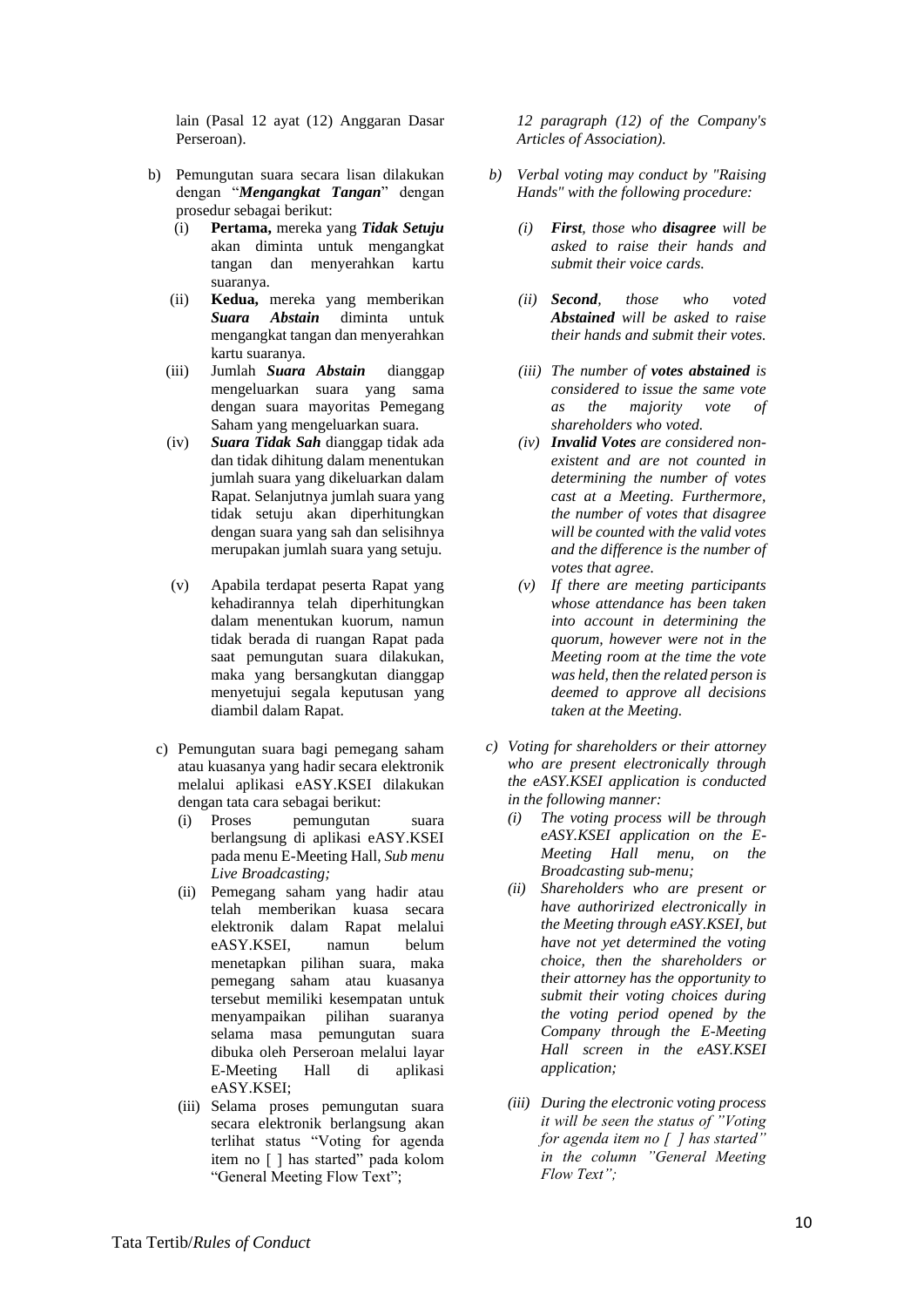lain (Pasal 12 ayat (12) Anggaran Dasar Perseroan).

- b) Pemungutan suara secara lisan dilakukan dengan "*Mengangkat Tangan*" dengan prosedur sebagai berikut:
	- (i) **Pertama,** mereka yang *Tidak Setuju* akan diminta untuk mengangkat tangan dan menyerahkan kartu suaranya.
	- (ii) **Kedua,** mereka yang memberikan *Suara Abstain* diminta untuk mengangkat tangan dan menyerahkan kartu suaranya.
	- (iii) Jumlah *Suara Abstain* dianggap mengeluarkan suara yang sama dengan suara mayoritas Pemegang Saham yang mengeluarkan suara.
	- (iv) *Suara Tidak Sah* dianggap tidak ada dan tidak dihitung dalam menentukan jumlah suara yang dikeluarkan dalam Rapat. Selanjutnya jumlah suara yang tidak setuju akan diperhitungkan dengan suara yang sah dan selisihnya merupakan jumlah suara yang setuju.
	- (v) Apabila terdapat peserta Rapat yang kehadirannya telah diperhitungkan dalam menentukan kuorum, namun tidak berada di ruangan Rapat pada saat pemungutan suara dilakukan, maka yang bersangkutan dianggap menyetujui segala keputusan yang diambil dalam Rapat.
- c) Pemungutan suara bagi pemegang saham atau kuasanya yang hadir secara elektronik melalui aplikasi eASY.KSEI dilakukan dengan tata cara sebagai berikut:
	- (i) Proses pemungutan suara berlangsung di aplikasi eASY.KSEI pada menu E-Meeting Hall, *Sub menu Live Broadcasting;*
	- (ii) Pemegang saham yang hadir atau telah memberikan kuasa secara elektronik dalam Rapat melalui eASY.KSEI, namun belum menetapkan pilihan suara, maka pemegang saham atau kuasanya tersebut memiliki kesempatan untuk menyampaikan pilihan suaranya selama masa pemungutan suara dibuka oleh Perseroan melalui layar E-Meeting Hall di aplikasi eASY.KSEI;
	- (iii) Selama proses pemungutan suara secara elektronik berlangsung akan terlihat status "Voting for agenda item no [ ] has started" pada kolom "General Meeting Flow Text";

*12 paragraph (12) of the Company's Articles of Association).*

- *b) Verbal voting may conduct by "Raising Hands" with the following procedure:*
	- *(i) First, those who disagree will be asked to raise their hands and submit their voice cards.*
	- *(ii) Second, those who voted Abstained will be asked to raise their hands and submit their votes.*
	- *(iii) The number of votes abstained is considered to issue the same vote as the majority vote of shareholders who voted.*
	- *(iv) Invalid Votes are considered nonexistent and are not counted in determining the number of votes cast at a Meeting. Furthermore, the number of votes that disagree will be counted with the valid votes and the difference is the number of votes that agree.*
	- *(v) If there are meeting participants whose attendance has been taken into account in determining the quorum, however were not in the Meeting room at the time the vote was held, then the related person is deemed to approve all decisions taken at the Meeting.*
- *c) Voting for shareholders or their attorney who are present electronically through the eASY.KSEI application is conducted in the following manner:*
	- *(i) The voting process will be through eASY.KSEI application on the E-Meeting Hall menu, on the Broadcasting sub-menu;*
	- *(ii) Shareholders who are present or have authorirized electronically in the Meeting through eASY.KSEI, but have not yet determined the voting choice, then the shareholders or their attorney has the opportunity to submit their voting choices during the voting period opened by the Company through the E-Meeting Hall screen in the eASY.KSEI application;*
	- *(iii) During the electronic voting process it will be seen the status of "Voting for agenda item no [ ] has started" in the column "General Meeting Flow Text";*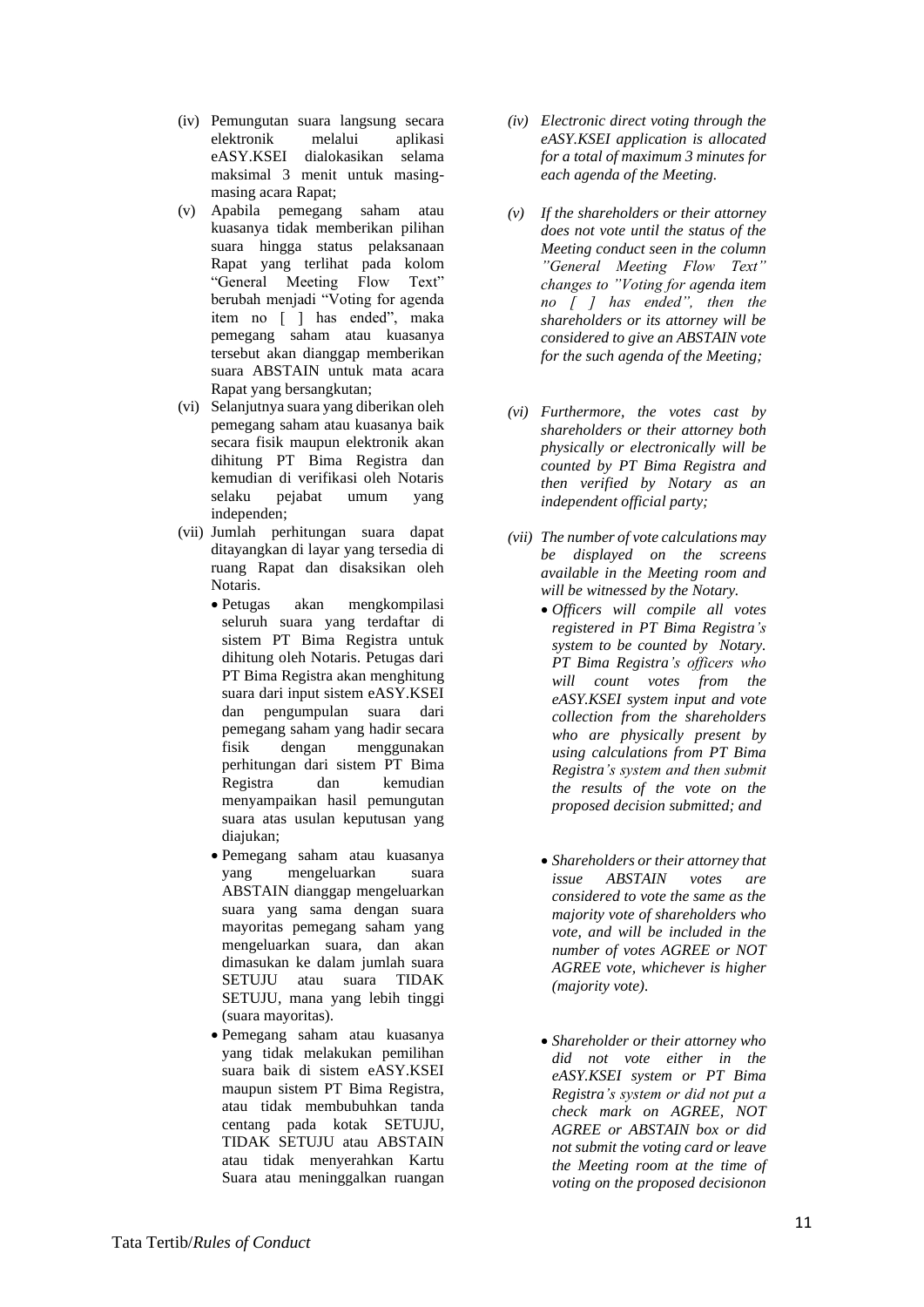- (iv) Pemungutan suara langsung secara elektronik melalui aplikasi eASY.KSEI dialokasikan selama maksimal 3 menit untuk masingmasing acara Rapat;
- (v) Apabila pemegang saham atau kuasanya tidak memberikan pilihan suara hingga status pelaksanaan Rapat yang terlihat pada kolom "General Meeting Flow Text" berubah menjadi "Voting for agenda item no [ ] has ended", maka pemegang saham atau kuasanya tersebut akan dianggap memberikan suara ABSTAIN untuk mata acara Rapat yang bersangkutan;
- (vi) Selanjutnya suara yang diberikan oleh pemegang saham atau kuasanya baik secara fisik maupun elektronik akan dihitung PT Bima Registra dan kemudian di verifikasi oleh Notaris selaku pejabat umum yang independen;
- (vii) Jumlah perhitungan suara dapat ditayangkan di layar yang tersedia di ruang Rapat dan disaksikan oleh Notaris.
	- Petugas akan mengkompilasi seluruh suara yang terdaftar di sistem PT Bima Registra untuk dihitung oleh Notaris. Petugas dari PT Bima Registra akan menghitung suara dari input sistem eASY.KSEI dan pengumpulan suara dari pemegang saham yang hadir secara fisik dengan menggunakan perhitungan dari sistem PT Bima Registra dan kemudian menyampaikan hasil pemungutan suara atas usulan keputusan yang diajukan;
	- Pemegang saham atau kuasanya yang mengeluarkan suara ABSTAIN dianggap mengeluarkan suara yang sama dengan suara mayoritas pemegang saham yang mengeluarkan suara, dan akan dimasukan ke dalam jumlah suara SETUJU atau suara TIDAK SETUJU, mana yang lebih tinggi (suara mayoritas).
	- Pemegang saham atau kuasanya yang tidak melakukan pemilihan suara baik di sistem eASY.KSEI maupun sistem PT Bima Registra, atau tidak membubuhkan tanda centang pada kotak SETUJU, TIDAK SETUJU atau ABSTAIN atau tidak menyerahkan Kartu Suara atau meninggalkan ruangan
- *(iv) Electronic direct voting through the eASY.KSEI application is allocated for a total of maximum 3 minutes for each agenda of the Meeting.*
- *(v) If the shareholders or their attorney does not vote until the status of the Meeting conduct seen in the column "General Meeting Flow Text" changes to "Voting for agenda item no [ ] has ended", then the shareholders or its attorney will be considered to give an ABSTAIN vote for the such agenda of the Meeting;*
- *(vi) Furthermore, the votes cast by shareholders or their attorney both physically or electronically will be counted by PT Bima Registra and then verified by Notary as an independent official party;*
- *(vii) The number of vote calculations may be displayed on the screens available in the Meeting room and will be witnessed by the Notary.*
	- *Officers will compile all votes registered in PT Bima Registra's system to be counted by Notary. PT Bima Registra's officers who will count votes from the eASY.KSEI system input and vote collection from the shareholders who are physically present by using calculations from PT Bima Registra's system and then submit the results of the vote on the proposed decision submitted; and*
	- *Shareholders or their attorney that issue ABSTAIN votes are considered to vote the same as the majority vote of shareholders who vote, and will be included in the number of votes AGREE or NOT AGREE vote, whichever is higher (majority vote).*
	- *Shareholder or their attorney who did not vote either in the eASY.KSEI system or PT Bima Registra's system or did not put a check mark on AGREE, NOT AGREE or ABSTAIN box or did not submit the voting card or leave the Meeting room at the time of voting on the proposed decisionon*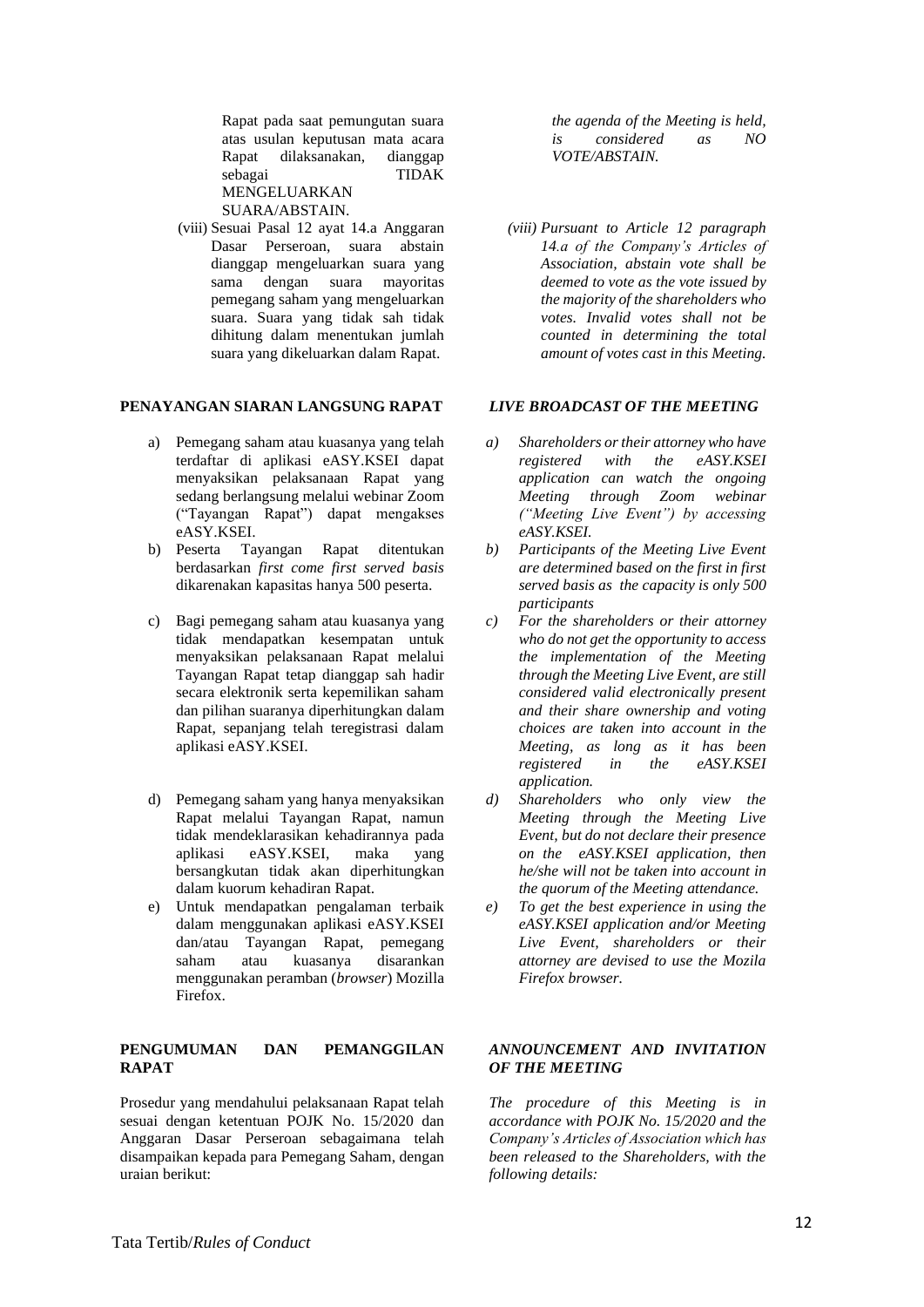Rapat pada saat pemungutan suara atas usulan keputusan mata acara Rapat dilaksanakan, dianggap sebagai TIDAK MENGELUARKAN SUARA/ABSTAIN.

(viii) Sesuai Pasal 12 ayat 14.a Anggaran Dasar Perseroan, suara abstain dianggap mengeluarkan suara yang sama dengan suara mayoritas pemegang saham yang mengeluarkan suara. Suara yang tidak sah tidak dihitung dalam menentukan jumlah suara yang dikeluarkan dalam Rapat.

#### **PENAYANGAN SIARAN LANGSUNG RAPAT**

- a) Pemegang saham atau kuasanya yang telah terdaftar di aplikasi eASY.KSEI dapat menyaksikan pelaksanaan Rapat yang sedang berlangsung melalui webinar Zoom ("Tayangan Rapat") dapat mengakses eASY.KSEI.
- b) Peserta Tayangan Rapat ditentukan berdasarkan *first come first served basis*  dikarenakan kapasitas hanya 500 peserta.
- c) Bagi pemegang saham atau kuasanya yang tidak mendapatkan kesempatan untuk menyaksikan pelaksanaan Rapat melalui Tayangan Rapat tetap dianggap sah hadir secara elektronik serta kepemilikan saham dan pilihan suaranya diperhitungkan dalam Rapat, sepanjang telah teregistrasi dalam aplikasi eASY.KSEI.
- d) Pemegang saham yang hanya menyaksikan Rapat melalui Tayangan Rapat, namun tidak mendeklarasikan kehadirannya pada aplikasi eASY.KSEI, maka yang bersangkutan tidak akan diperhitungkan dalam kuorum kehadiran Rapat.
- e) Untuk mendapatkan pengalaman terbaik dalam menggunakan aplikasi eASY.KSEI dan/atau Tayangan Rapat, pemegang saham atau kuasanya disarankan menggunakan peramban (*browser*) Mozilla Firefox.

# **PENGUMUMAN DAN PEMANGGILAN RAPAT**

Prosedur yang mendahului pelaksanaan Rapat telah sesuai dengan ketentuan POJK No. 15/2020 dan Anggaran Dasar Perseroan sebagaimana telah disampaikan kepada para Pemegang Saham, dengan uraian berikut:

*the agenda of the Meeting is held, is considered as NO VOTE/ABSTAIN.*

*(viii) Pursuant to Article 12 paragraph 14.a of the Company's Articles of Association, abstain vote shall be deemed to vote as the vote issued by the majority of the shareholders who votes. Invalid votes shall not be counted in determining the total amount of votes cast in this Meeting.*

## *LIVE BROADCAST OF THE MEETING*

- *a) Shareholders or their attorney who have registered with the eASY.KSEI application can watch the ongoing Meeting through Zoom webinar ("Meeting Live Event") by accessing eASY.KSEI.*
- *b) Participants of the Meeting Live Event are determined based on the first in first served basis as the capacity is only 500 participants*
- *c) For the shareholders or their attorney who do not get the opportunity to access the implementation of the Meeting through the Meeting Live Event, are still considered valid electronically present and their share ownership and voting choices are taken into account in the Meeting, as long as it has been registered in the eASY.KSEI application.*
- *d) Shareholders who only view the Meeting through the Meeting Live Event, but do not declare their presence on the eASY.KSEI application, then he/she will not be taken into account in the quorum of the Meeting attendance.*
- *e) To get the best experience in using the eASY.KSEI application and/or Meeting Live Event, shareholders or their attorney are devised to use the Mozila Firefox browser.*

## *ANNOUNCEMENT AND INVITATION OF THE MEETING*

*The procedure of this Meeting is in accordance with POJK No. 15/2020 and the Company's Articles of Association which has been released to the Shareholders, with the following details:*